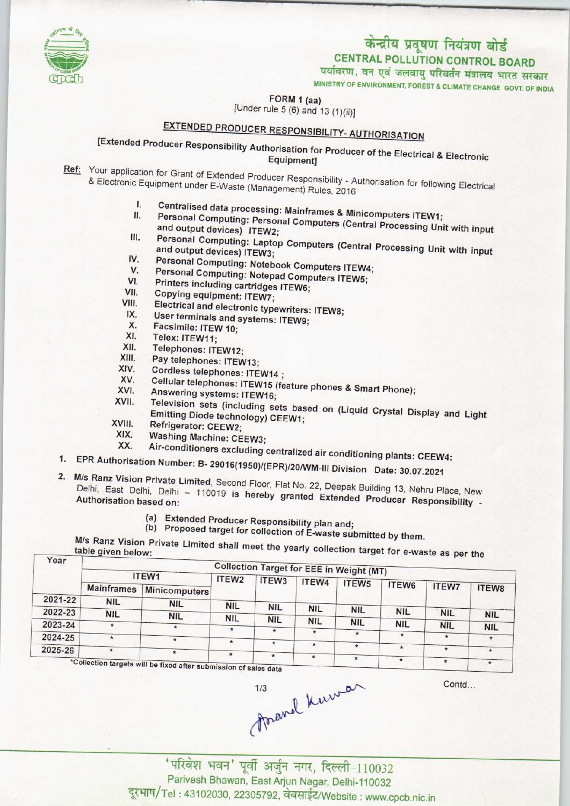

## केन्द्रीय प्रदूषण नियंत्रण बोर्ड

CENTRAL POLLUTION CONTROL BOARD

पर्यावरण, वन एवं जलवायु परिवर्तन मंत्रालय भारत सरकार

MINISTRY OF ENVIRONMENT, FOREST S CLIMATE CHANGE GOVT. OF INDIA

FORM 1 (aa)

[Under rule 5  $(6)$  and 13  $(1)(ii)$ ]

## EXTENDED PRODUCER RESPONSIBILITY-AUTHORISATION

[Extended Producer Responsibility Authorisation for Producer ofthe Electrical & Electronic Equipment]

Ref: Your application for Grant of Extended Producer Responsibility - Authorisation for Grant of Extended Producer Responsibility - Authorisation for Grant of Extended Producer Responsibility of Authorisation for Grant of & Electronic Equipment under E-Waste (Management) Responsibility - A

- I. Centralised data processing: Mainframes & Minicomputers Inc.
- I. Centralised data processing: Mainframes & Minicomputers ITEW1;<br>II. Personal Computing: Personal Computers (Central Processing Unit with input and output devices) ITEW2;
- II. Personal Computing: Personal Computers & Minicomputers ITEW1;<br>and output devices) ITEW2;<br>III. Personal Computing: Laptop Computers (Central Processing Unit with input and output devices) ITEW3; III. Personal Computing: Laptop Computers (Central<br>and output devices) ITEW3;<br>IV. Personal Computing: Notebook Computers ITEW4; Execute Computing: Laptop Computers (Centra<br>and output devices) ITEW3;<br>V. Personal Computing: Notebook Computers ITEW5;<br>V. Personal Computing: Notepad Computers ITEW5;
- IV. Personal Computing: Notebook Con<br>V. Personal Computing: Notepad Computing cartridges<br>ITEW6; Printers including cartridges ITEW6;
- V. Personal Computing: Notepad Computers ITEW4<br>VI. Printers including cartridges ITEW6;<br>VII. Copying equipment: ITEW7;<br>VIII. Electrical and electronic to
- 
- 
- VI. Printers including cartridges ITEW6;<br>VII. Copying equipment: ITEW7;<br>VIII. Electrical and electronic typewriters: ITEW8;<br>IX. User terminals excluding U.S. VII. Copying equipment: ITEW7;<br>III. Electrical and electronic typewriters<br>IX. User terminals and systems: ITEW9; III. Electrical and elect<br>X. User terminals and<br>X. Facsimile: ITEW 10;<br>X. Telex: ITEW 14;
- 
- 
- IX. User terminals<br>
X. Facsimile: ITEN<br>
XI. Telex: ITEW11;<br>
XI. Telenhone: IT
- X. Facsimile: ITEW 10;<br>XI. Telex: ITEW11;<br>XII. Telephones: ITEW12;<br>XIII. Pav telephones: ITEW
- XIII. Pay telephones: ITEW13;<br>XIV. Cordless telephones: ITE
- XIV. Cordless telephones: ITEW14 ;<br>XV. Cellular telephones: ITEW15 ;
- XIII. Pay telephones: ITEW13;<br>XIV. Cordless telephones: ITEW14 ;<br>XV. Cellular telephones: ITEW15 (feature phones & Smart Phone);<br>XVI. Answering System ITEW15 (feature phones & Smart Phone); XIV. Cordless telephones: ITEW14<br>XV. Cellular telephones: ITEW15<br>XVI. Answering systems: ITEW16;
- 
- XV. Cellular telephones: ITEW14 ;<br>XVI. Answering systems: ITEW16;<br>XVII. Television sets (including sets based on (Liquid Crystal Display and Light<br>Emitting Diode technology) CFEW1; Emitting Diode technology) CEEW1;<br>XVIII. Refrigerator: CEEW2;<br>XIX. Washing Machine: CEEW3.
- 
- 
- XIX. Washing Machine: CEEW3;
- XX. Air-conditioners excluding centralized air conditioning plants: CEEW4:<br>1. EPR Authorisation Number: B- 29016(1950)/(EPR)/20/WM-lll Division Date: 30.07.2021
- 1. EPR Authorisation Number: B- 29016(1950)/(EPR)/20/WM-III Division Date: 30.07.2021
- 2. M/s Ranz Vision Private Limited, Second Floor, Flat No. 22, Deepak Building 13, Nehru Place, New Delhi, East Delhi, Delhi - 110019 is hereby granted Extended Producer Responsibility -
	- (a)Extended Producer Responsibility plan and;
	- (b) Proposed target for collection of E-waste submitted by them.

| Year    |                                                                  | M/s Ranz Vision Private Limited shall meet the yearly collection target for e-waste as per the |            |            |            | <b>Collection Target for EEE in Weight (MT)</b> |            |              |            |
|---------|------------------------------------------------------------------|------------------------------------------------------------------------------------------------|------------|------------|------------|-------------------------------------------------|------------|--------------|------------|
|         | ITEW1                                                            | ITEW <sub>2</sub>                                                                              | ITEW3      | ITEW4      |            |                                                 |            |              |            |
|         | <b>Mainframes</b>                                                | Minicomputers                                                                                  |            |            |            | ITEW <sub>5</sub>                               | ITEW6      | <b>ITEW7</b> | ITEW8      |
| 2021-22 | <b>NIL</b>                                                       | <b>NIL</b>                                                                                     | <b>NIL</b> |            |            |                                                 |            |              |            |
| 2022-23 | <b>NIL</b>                                                       | <b>NIL</b>                                                                                     |            | <b>NIL</b> | <b>NIL</b> | <b>NIL</b>                                      | <b>NIL</b> | <b>NIL</b>   | <b>NIL</b> |
| 2023-24 | $\ast$                                                           | $\star$                                                                                        | <b>NIL</b> | <b>NIL</b> | <b>NIL</b> | <b>NIL</b>                                      | <b>NIL</b> | <b>NIL</b>   | <b>NIL</b> |
| 2024-25 | $\star$                                                          | $\ast$                                                                                         | $\star$    | $\star$    | $\star$    | $\star$                                         | $\star$    | ×.           | $\star$    |
| 2025-26 | $\star$                                                          |                                                                                                | $\star$    | $\star$    | $\star$    | $\star$                                         | $\star$    | $\star$      | $\star$    |
|         | *Collection targets will be fixed after submission of sales data | $\star$                                                                                        | $\star$    | $\star$    | $\star$    | $\star$                                         | $\star$    |              |            |

unsion of sales data

'परिवेश भवन' पूर्वी अर्जुन नगर, दिल्ली-110032 Parivesh Bhawan, East Arjun Nagar, Delhi-110032 दूरभाष/Tel: 43102030, 22305792, वेबसाईट/Website: www.cpcb.nic.in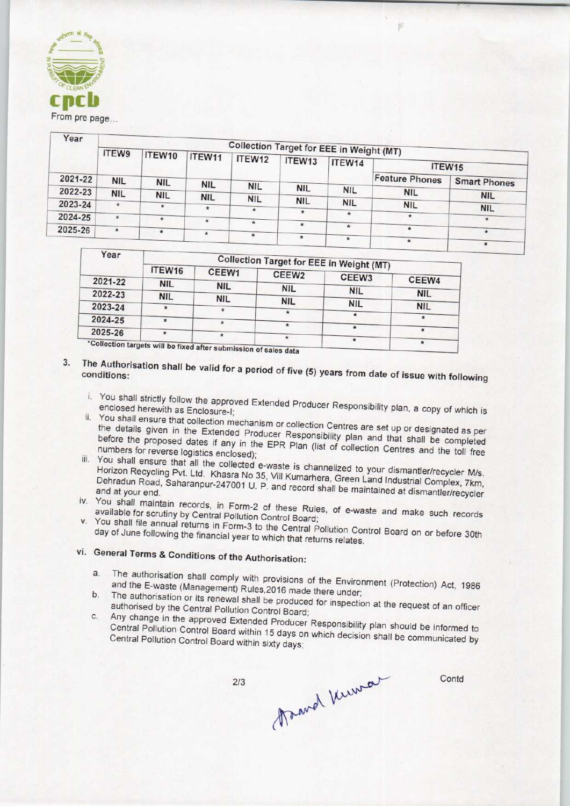

| Year    | <b>Collection Target for EEE in Weight (MT)</b> |               |            |            |            |            |                       |                     |  |
|---------|-------------------------------------------------|---------------|------------|------------|------------|------------|-----------------------|---------------------|--|
|         | <b>ITEW9</b>                                    | ITEW10        | ITEW11     | ITEW12     | ITEW13     | ITEW14     |                       | ITEW15              |  |
| 2021-22 | <b>NIL</b>                                      | <b>NIL</b>    | <b>NIL</b> |            |            |            | <b>Feature Phones</b> | <b>Smart Phones</b> |  |
| 2022-23 | <b>NIL</b>                                      |               |            | <b>NIL</b> | <b>NIL</b> | <b>NIL</b> | <b>NIL</b>            |                     |  |
| 2023-24 | $\star$                                         | <b>NIL</b>    | <b>NIL</b> | <b>NIL</b> | <b>NIL</b> | <b>NIL</b> |                       | <b>NIL</b>          |  |
|         |                                                 |               |            | $\star$    | $\star$    | $\star$    | <b>NIL</b>            | <b>NIL</b>          |  |
| 2024-25 | $\star$                                         | $\frac{1}{2}$ | ×.         | $\star$    |            |            | $\star$               | $\star$             |  |
| 2025-26 | $*$                                             | $\star$       |            |            | $\star$    | $\star$    | $\star$               |                     |  |
|         |                                                 |               | ٠          | $\star$    | $\star$    |            |                       | $\star$             |  |
|         |                                                 |               |            |            |            |            | $\pmb{\pi}$           | ₩                   |  |

| Year    | <b>Collection Target for EEE in Weight (MT)</b> |                                                                  |                   |            |            |  |  |
|---------|-------------------------------------------------|------------------------------------------------------------------|-------------------|------------|------------|--|--|
|         | ITEW16                                          | CEEW1                                                            | CEEW <sub>2</sub> | CEEW3      |            |  |  |
| 2021-22 | <b>NIL</b>                                      | <b>NIL</b>                                                       | <b>NIL</b>        |            | CEEW4      |  |  |
| 2022-23 | <b>NIL</b>                                      | <b>NIL</b>                                                       |                   | <b>NIL</b> | <b>NIL</b> |  |  |
| 2023-24 | $\star$                                         |                                                                  | <b>NIL</b>        | <b>NIL</b> | <b>NIL</b> |  |  |
| 2024-25 | $\star$                                         |                                                                  | *                 |            | $\star$    |  |  |
|         |                                                 |                                                                  | $\star$           |            |            |  |  |
| 2025-26 | $\frac{1}{2}$                                   | *Collection targets will be fixed after submission of soles data | $\star$           | $\star$    | *          |  |  |

- 3. The Authorisation shall be valid for a period of  $f_{\text{max}}$  (5) conditions:
	- i. You shall strictly follow the approved Extended Producer Responsibility plan, a copy of which is which is which is which is a copy of which is a copy of which is which is a copy of which is a copy of which is a copy of enclosed herewith as Enclosure-I; ii. You shall ensure that collection mechanism or collection Centres are set up or designated as periodicity or designation or designation  $\alpha$
	- the details given in the Extended Producer Pesponsibility and are set up or designated as per the details given in the Extended Producer Responsibility plan and that shall be completed<br>before the proposed dates if any in the EPR Plan (list of collection Centres and the toll free<br>numbers for reverse logistics enclos before the proposed dates if any in the EPR Plan (list of collection Centres and the toll free iii. You shall ensure that all the collected e-waste is channelized to your dismantler collected to your disman<br>iii. You shall ensure that all the collected e-waste is a channel of the collected o-waste in the collected o-
	- Horizon Recycling Pvt. Ltd. Khasra No. 35, Vill Kumark, Green Land Vour dismantler/recycler M/s Horizon Recycling Pvt. Ltd. Khasra No 35, Vill Kumarhera, Green Land Industrial Complex, 7km, Dehradun Road, Saharanpur-247001 U. P. and record shall be maintained at dismantler/recycler iv. You shall maintain records, in Form-2 of these Rules, of these Rules, of these Rules, or e-waste and maintenacycles
	- available for scrutiny by Central Pollution Control Board v. You shall file annual returns in Form-3 to the Central Pollution Control Board.
	- day of June following the financial year to which that and Dollution Co day of June following the financial year to which that returns relates.<br>vi. General Terms & Conditions of the Authorisation:

- Existed Terms & Conditions of the Authorisation:<br>a. The authorisation shall comply with provisions of the Environment (Protection) Act, 1986<br>and the E-waste (Management) Rules 2016 made there understanding (Protection) Act a. The authorisation shall comply with provisions of the Environment (Protection) Act, 1986<br>and the E-waste (Management) Rules, 2016 made there under;<br>b. The authorisation or its renewal shall be produced for inspection at
- External control Solution Control Board;<br>C. Any change in the approved Extended Producer Responsibility plan should be informed to<br>Central Pollution Control Board within 15 days on which decision should be informed to
- Central Pollution Control Board within 15 days on which decision shall be communicated by<br>Central Pollution Control Board within sixty days:

 $2/3$ 

Travel Kumar

**Contd**